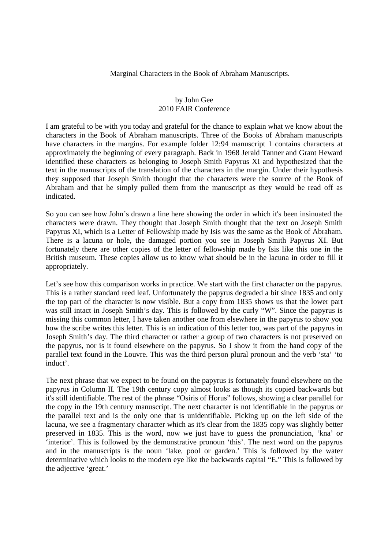Marginal Characters in the Book of Abraham Manuscripts.

## by John Gee 2010 FAIR Conference

I am grateful to be with you today and grateful for the chance to explain what we know about the characters in the Book of Abraham manuscripts. Three of the Books of Abraham manuscripts have characters in the margins. For example folder 12:94 manuscript 1 contains characters at approximately the beginning of every paragraph. Back in 1968 Jerald Tanner and Grant Heward identified these characters as belonging to Joseph Smith Papyrus XI and hypothesized that the text in the manuscripts of the translation of the characters in the margin. Under their hypothesis they supposed that Joseph Smith thought that the characters were the source of the Book of Abraham and that he simply pulled them from the manuscript as they would be read off as indicated.

So you can see how John's drawn a line here showing the order in which it's been insinuated the characters were drawn. They thought that Joseph Smith thought that the text on Joseph Smith Papyrus XI, which is a Letter of Fellowship made by Isis was the same as the Book of Abraham. There is a lacuna or hole, the damaged portion you see in Joseph Smith Papyrus XI. But fortunately there are other copies of the letter of fellowship made by Isis like this one in the British museum. These copies allow us to know what should be in the lacuna in order to fill it appropriately.

Let's see how this comparison works in practice. We start with the first character on the papyrus. This is a rather standard reed leaf. Unfortunately the papyrus degraded a bit since 1835 and only the top part of the character is now visible. But a copy from 1835 shows us that the lower part was still intact in Joseph Smith's day. This is followed by the curly "W". Since the papyrus is missing this common letter, I have taken another one from elsewhere in the papyrus to show you how the scribe writes this letter. This is an indication of this letter too, was part of the papyrus in Joseph Smith's day. The third character or rather a group of two characters is not preserved on the papyrus, nor is it found elsewhere on the papyrus. So I show it from the hand copy of the parallel text found in the Louvre. This was the third person plural pronoun and the verb 'sta' 'to induct'.

The next phrase that we expect to be found on the papyrus is fortunately found elsewhere on the papyrus in Column II. The 19th century copy almost looks as though its copied backwards but it's still identifiable. The rest of the phrase "Osiris of Horus" follows, showing a clear parallel for the copy in the 19th century manuscript. The next character is not identifiable in the papyrus or the parallel text and is the only one that is unidentifiable. Picking up on the left side of the lacuna, we see a fragmentary character which as it's clear from the 1835 copy was slightly better preserved in 1835. This is the word, now we just have to guess the pronunciation, 'kna' or 'interior'. This is followed by the demonstrative pronoun 'this'. The next word on the papyrus and in the manuscripts is the noun 'lake, pool or garden.' This is followed by the water determinative which looks to the modern eye like the backwards capital "E." This is followed by the adjective 'great.'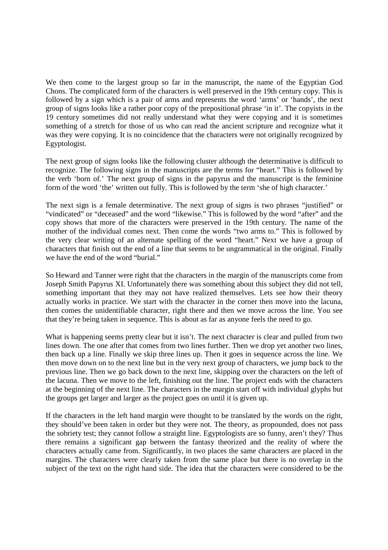We then come to the largest group so far in the manuscript, the name of the Egyptian God Chons. The complicated form of the characters is well preserved in the 19th century copy. This is followed by a sign which is a pair of arms and represents the word 'arms' or 'hands', the next group of signs looks like a rather poor copy of the prepositional phrase 'in it'. The copyists in the 19 century sometimes did not really understand what they were copying and it is sometimes something of a stretch for those of us who can read the ancient scripture and recognize what it was they were copying. It is no coincidence that the characters were not originally recognized by Egyptologist.

The next group of signs looks like the following cluster although the determinative is difficult to recognize. The following signs in the manuscripts are the terms for "heart." This is followed by the verb 'born of.' The next group of signs in the papyrus and the manuscript is the feminine form of the word 'the' written out fully. This is followed by the term 'she of high character.'

The next sign is a female determinative. The next group of signs is two phrases "justified" or "vindicated" or "deceased" and the word "likewise." This is followed by the word "after" and the copy shows that more of the characters were preserved in the 19th century. The name of the mother of the individual comes next. Then come the words "two arms to." This is followed by the very clear writing of an alternate spelling of the word "heart." Next we have a group of characters that finish out the end of a line that seems to be ungrammatical in the original. Finally we have the end of the word "burial."

So Heward and Tanner were right that the characters in the margin of the manuscripts come from Joseph Smith Papyrus XI. Unfortunately there was something about this subject they did not tell, something important that they may not have realized themselves. Lets see how their theory actually works in practice. We start with the character in the corner then move into the lacuna, then comes the unidentifiable character, right there and then we move across the line. You see that they're being taken in sequence. This is about as far as anyone feels the need to go.

What is happening seems pretty clear but it isn't. The next character is clear and pulled from two lines down. The one after that comes from two lines further. Then we drop yet another two lines, then back up a line. Finally we skip three lines up. Then it goes in sequence across the line. We then move down on to the next line but in the very next group of characters, we jump back to the previous line. Then we go back down to the next line, skipping over the characters on the left of the lacuna. Then we move to the left, finishing out the line. The project ends with the characters at the beginning of the next line. The characters in the margin start off with individual glyphs but the groups get larger and larger as the project goes on until it is given up.

If the characters in the left hand margin were thought to be translated by the words on the right, they should've been taken in order but they were not. The theory, as propounded, does not pass the sobriety test; they cannot follow a straight line. Egyptologists are so funny, aren't they? Thus there remains a significant gap between the fantasy theorized and the reality of where the characters actually came from. Significantly, in two places the same characters are placed in the margins. The characters were clearly taken from the same place but there is no overlap in the subject of the text on the right hand side. The idea that the characters were considered to be the